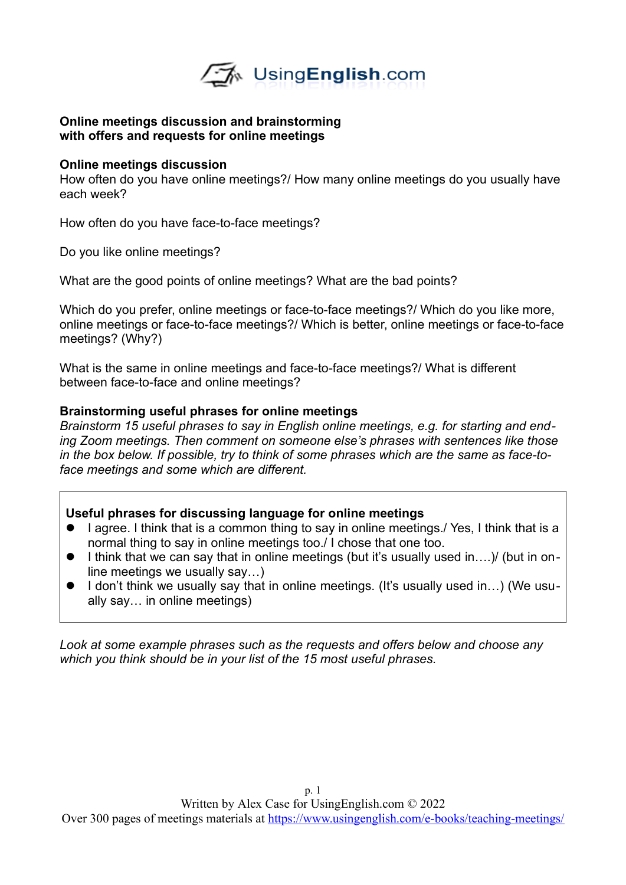

#### **Online meetings discussion and brainstorming with offers and requests for online meetings**

#### **Online meetings discussion**

How often do you have online meetings?/ How many online meetings do you usually have each week?

How often do you have face-to-face meetings?

Do you like online meetings?

What are the good points of online meetings? What are the bad points?

Which do you prefer, online meetings or face-to-face meetings?/ Which do you like more, online meetings or face-to-face meetings?/ Which is better, online meetings or face-to-face meetings? (Why?)

What is the same in online meetings and face-to-face meetings?/ What is different between face-to-face and online meetings?

## **Brainstorming useful phrases for online meetings**

*Brainstorm 15 useful phrases to say in English online meetings, e.g. for starting and ending Zoom meetings. Then comment on someone else's phrases with sentences like those in the box below. If possible, try to think of some phrases which are the same as face-toface meetings and some which are different.* 

## **Useful phrases for discussing language for online meetings**

- I agree. I think that is a common thing to say in online meetings./ Yes, I think that is a normal thing to say in online meetings too./ I chose that one too.
- I think that we can say that in online meetings (but it's usually used in...) (but in online meetings we usually say…)
- I don't think we usually say that in online meetings. (It's usually used in...) (We usually say… in online meetings)

*Look at some example phrases such as the requests and offers below and choose any which you think should be in your list of the 15 most useful phrases.*